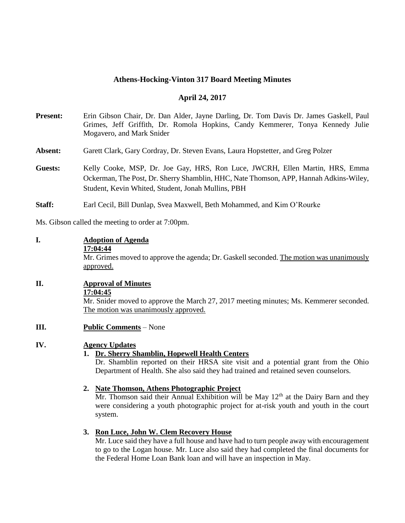## **Athens-Hocking-Vinton 317 Board Meeting Minutes**

#### **April 24, 2017**

- **Present:** Erin Gibson Chair, Dr. Dan Alder, Jayne Darling, Dr. Tom Davis Dr. James Gaskell, Paul Grimes, Jeff Griffith, Dr. Romola Hopkins, Candy Kemmerer, Tonya Kennedy Julie Mogavero, and Mark Snider
- **Absent:** Garett Clark, Gary Cordray, Dr. Steven Evans, Laura Hopstetter, and Greg Polzer
- **Guests:** Kelly Cooke, MSP, Dr. Joe Gay, HRS, Ron Luce, JWCRH, Ellen Martin, HRS, Emma Ockerman, The Post, Dr. Sherry Shamblin, HHC, Nate Thomson, APP, Hannah Adkins-Wiley, Student, Kevin Whited, Student, Jonah Mullins, PBH
- **Staff:** Earl Cecil, Bill Dunlap, Svea Maxwell, Beth Mohammed, and Kim O'Rourke

Ms. Gibson called the meeting to order at 7:00pm.

#### **I. Adoption of Agenda**

**17:04:44**

Mr. Grimes moved to approve the agenda; Dr. Gaskell seconded. The motion was unanimously approved.

## **II. Approval of Minutes**

**17:04:45**

Mr. Snider moved to approve the March 27, 2017 meeting minutes; Ms. Kemmerer seconded. The motion was unanimously approved.

**III. Public Comments** – None

# **IV. Agency Updates**

## **1. Dr. Sherry Shamblin, Hopewell Health Centers**

Dr. Shamblin reported on their HRSA site visit and a potential grant from the Ohio Department of Health. She also said they had trained and retained seven counselors.

#### **2. Nate Thomson, Athens Photographic Project**

Mr. Thomson said their Annual Exhibition will be May  $12<sup>th</sup>$  at the Dairy Barn and they were considering a youth photographic project for at-risk youth and youth in the court system.

## **3. Ron Luce, John W. Clem Recovery House**

Mr. Luce said they have a full house and have had to turn people away with encouragement to go to the Logan house. Mr. Luce also said they had completed the final documents for the Federal Home Loan Bank loan and will have an inspection in May.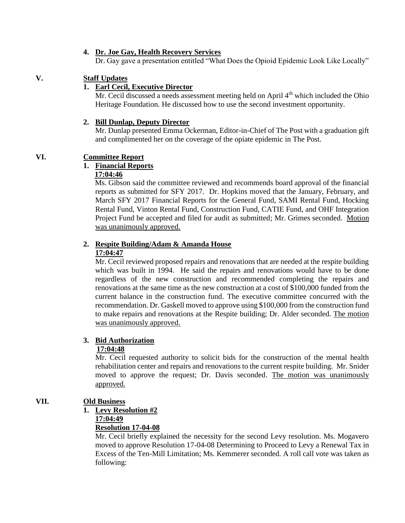#### **4. Dr. Joe Gay, Health Recovery Services**

Dr. Gay gave a presentation entitled "What Does the Opioid Epidemic Look Like Locally"

# **V. Staff Updates**

# **1. Earl Cecil, Executive Director**

 $\overline{Mr}$ . Cecil discussed a needs assessment meeting held on April  $4<sup>th</sup>$  which included the Ohio Heritage Foundation. He discussed how to use the second investment opportunity.

#### **2. Bill Dunlap, Deputy Director**

Mr. Dunlap presented Emma Ockerman, Editor-in-Chief of The Post with a graduation gift and complimented her on the coverage of the opiate epidemic in The Post.

# **VI. Committee Report**

## **1. Financial Reports**

## **17:04:46**

 Ms. Gibson said the committee reviewed and recommends board approval of the financial reports as submitted for SFY 2017. Dr. Hopkins moved that the January, February, and March SFY 2017 Financial Reports for the General Fund, SAMI Rental Fund, Hocking Rental Fund, Vinton Rental Fund, Construction Fund, CATIE Fund, and OHF Integration Project Fund be accepted and filed for audit as submitted; Mr. Grimes seconded. Motion was unanimously approved.

#### **2. Respite Building/Adam & Amanda House 17:04:47**

Mr. Cecil reviewed proposed repairs and renovations that are needed at the respite building which was built in 1994. He said the repairs and renovations would have to be done regardless of the new construction and recommended completing the repairs and renovations at the same time as the new construction at a cost of \$100,000 funded from the current balance in the construction fund. The executive committee concurred with the recommendation. Dr. Gaskell moved to approve using \$100,000 from the construction fund to make repairs and renovations at the Respite building; Dr. Alder seconded. The motion was unanimously approved.

## **3. Bid Authorization**

## **17:04:48**

 Mr. Cecil requested authority to solicit bids for the construction of the mental health rehabilitation center and repairs and renovations to the current respite building. Mr. Snider moved to approve the request; Dr. Davis seconded. The motion was unanimously approved.

## **VII. Old Business**

## **1. Levy Resolution #2**

# **17:04:49**

## **Resolution 17-04-08**

Mr. Cecil briefly explained the necessity for the second Levy resolution. Ms. Mogavero moved to approve Resolution 17-04-08 Determining to Proceed to Levy a Renewal Tax in Excess of the Ten-Mill Limitation; Ms. Kemmerer seconded. A roll call vote was taken as following: